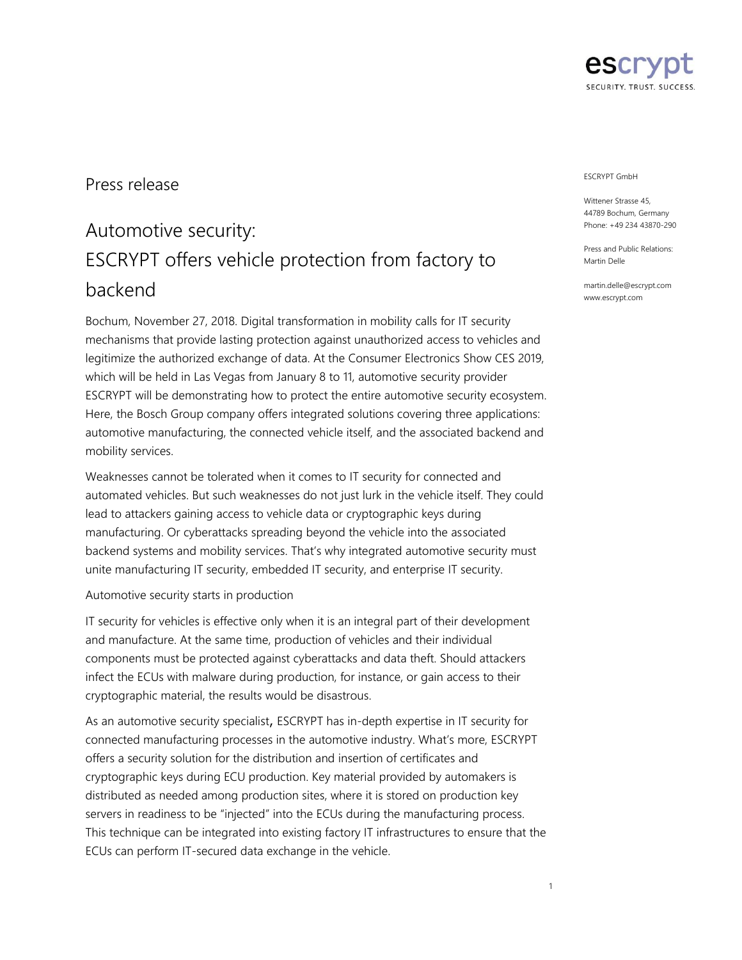

## Press release

# Automotive security: ESCRYPT offers vehicle protection from factory to backend

Bochum, November 27, 2018. Digital transformation in mobility calls for IT security mechanisms that provide lasting protection against unauthorized access to vehicles and legitimize the authorized exchange of data. At the Consumer Electronics Show CES 2019, which will be held in Las Vegas from January 8 to 11, automotive security provider ESCRYPT will be demonstrating how to protect the entire automotive security ecosystem. Here, the Bosch Group company offers integrated solutions covering three applications: automotive manufacturing, the connected vehicle itself, and the associated backend and mobility services.

Weaknesses cannot be tolerated when it comes to IT security for connected and automated vehicles. But such weaknesses do not just lurk in the vehicle itself. They could lead to attackers gaining access to vehicle data or cryptographic keys during manufacturing. Or cyberattacks spreading beyond the vehicle into the associated backend systems and mobility services. That's why integrated automotive security must unite manufacturing IT security, embedded IT security, and enterprise IT security.

## Automotive security starts in production

IT security for vehicles is effective only when it is an integral part of their development and manufacture. At the same time, production of vehicles and their individual components must be protected against cyberattacks and data theft. Should attackers infect the ECUs with malware during production, for instance, or gain access to their cryptographic material, the results would be disastrous.

As an automotive security specialist, ESCRYPT has in-depth expertise in IT security for connected manufacturing processes in the automotive industry. What's more, ESCRYPT offers a security solution for the distribution and insertion of certificates and cryptographic keys during ECU production. Key material provided by automakers is distributed as needed among production sites, where it is stored on production key servers in readiness to be "injected" into the ECUs during the manufacturing process. This technique can be integrated into existing factory IT infrastructures to ensure that the ECUs can perform IT-secured data exchange in the vehicle.

#### ESCRYPT GmbH

Wittener Strasse 45, 44789 Bochum, Germany Phone: +49 234 43870-290

Press and Public Relations: Martin Delle

martin.delle@escrypt.com www.escrypt.com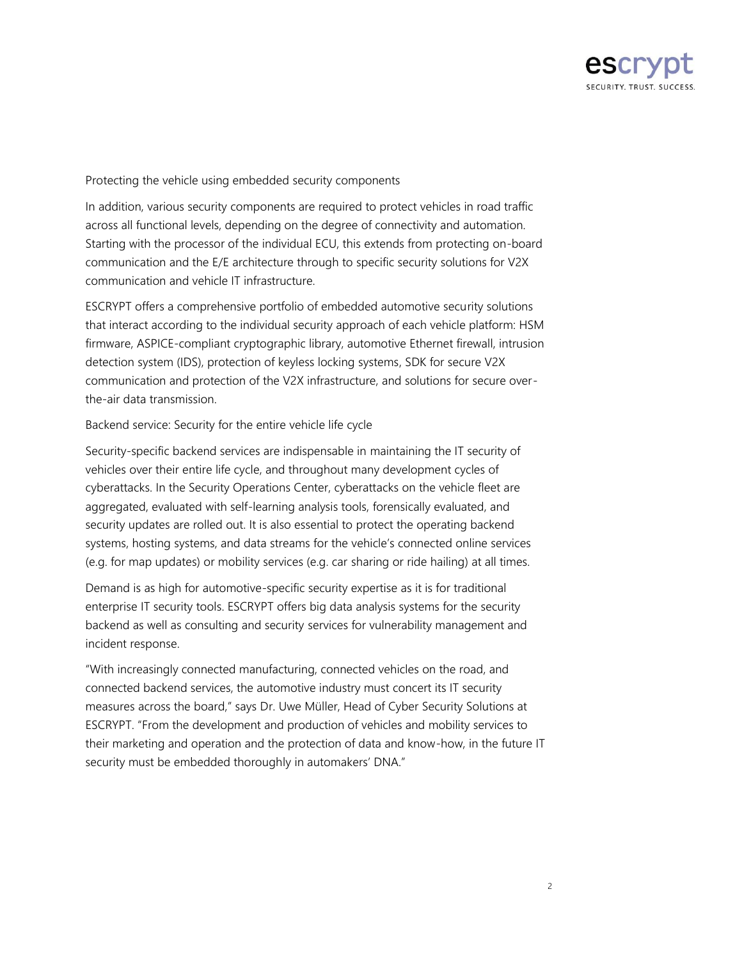

## Protecting the vehicle using embedded security components

In addition, various security components are required to protect vehicles in road traffic across all functional levels, depending on the degree of connectivity and automation. Starting with the processor of the individual ECU, this extends from protecting on-board communication and the E/E architecture through to specific security solutions for V2X communication and vehicle IT infrastructure.

ESCRYPT offers a comprehensive portfolio of embedded automotive security solutions that interact according to the individual security approach of each vehicle platform: HSM firmware, ASPICE-compliant cryptographic library, automotive Ethernet firewall, intrusion detection system (IDS), protection of keyless locking systems, SDK for secure V2X communication and protection of the V2X infrastructure, and solutions for secure overthe-air data transmission.

## Backend service: Security for the entire vehicle life cycle

Security-specific backend services are indispensable in maintaining the IT security of vehicles over their entire life cycle, and throughout many development cycles of cyberattacks. In the Security Operations Center, cyberattacks on the vehicle fleet are aggregated, evaluated with self-learning analysis tools, forensically evaluated, and security updates are rolled out. It is also essential to protect the operating backend systems, hosting systems, and data streams for the vehicle's connected online services (e.g. for map updates) or mobility services (e.g. car sharing or ride hailing) at all times.

Demand is as high for automotive-specific security expertise as it is for traditional enterprise IT security tools. ESCRYPT offers big data analysis systems for the security backend as well as consulting and security services for vulnerability management and incident response.

"With increasingly connected manufacturing, connected vehicles on the road, and connected backend services, the automotive industry must concert its IT security measures across the board," says Dr. Uwe Müller, Head of Cyber Security Solutions at ESCRYPT. "From the development and production of vehicles and mobility services to their marketing and operation and the protection of data and know-how, in the future IT security must be embedded thoroughly in automakers' DNA."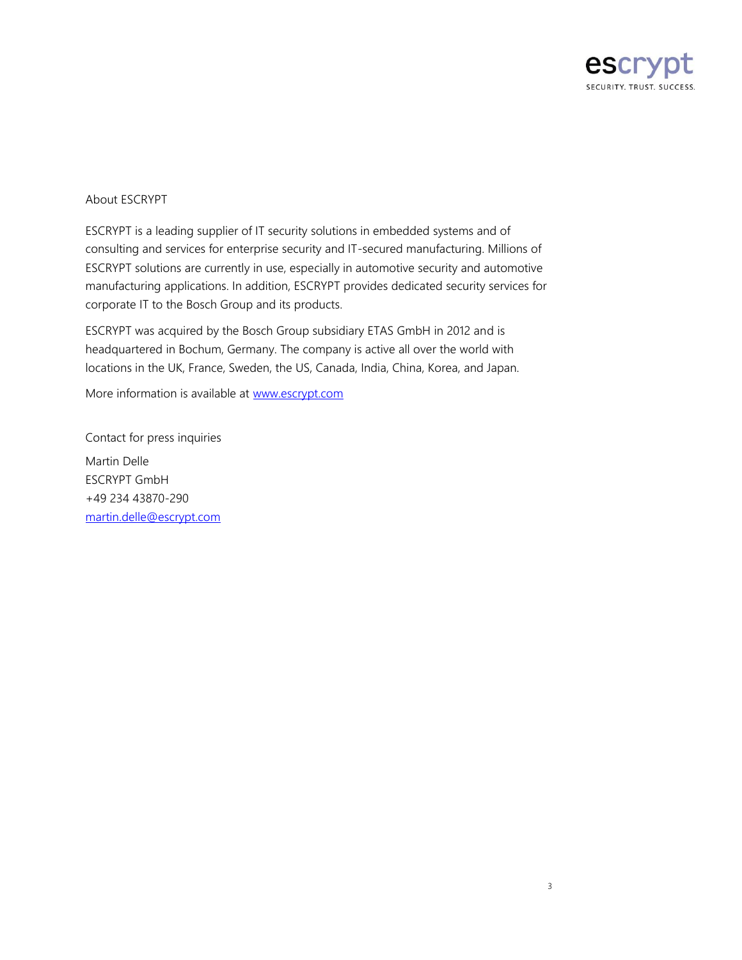

## About ESCRYPT

ESCRYPT is a leading supplier of IT security solutions in embedded systems and of consulting and services for enterprise security and IT-secured manufacturing. Millions of ESCRYPT solutions are currently in use, especially in automotive security and automotive manufacturing applications. In addition, ESCRYPT provides dedicated security services for corporate IT to the Bosch Group and its products.

ESCRYPT was acquired by the Bosch Group subsidiary ETAS GmbH in 2012 and is headquartered in Bochum, Germany. The company is active all over the world with locations in the UK, France, Sweden, the US, Canada, India, China, Korea, and Japan.

More information is available at [www.escrypt.com](file://///fe00fs78.de.bosch.com/SEC-PG$/SEC-MKC/05_Public_Relations/Press_releases/2018/PI_Automotive_Firewall/www.escrypt.com)

Contact for press inquiries Martin Delle ESCRYPT GmbH +49 234 43870-290 [martin.delle@escrypt.com](mailto:martin.delle@escrypt.com)